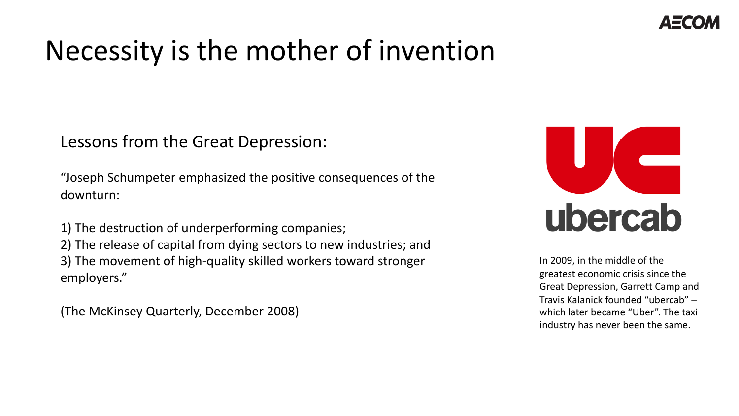## Necessity is the mother of invention

Lessons from the Great Depression:

"Joseph Schumpeter emphasized the positive consequences of the downturn:

1) The destruction of underperforming companies; 2) The release of capital from dying sectors to new industries; and 3) The movement of high-quality skilled workers toward stronger employers."

(The McKinsey Quarterly, December 2008)



In 2009, in the middle of the greatest economic crisis since the Great Depression, Garrett Camp and Travis Kalanick founded "ubercab" – which later became "Uber". The taxi industry has never been the same.